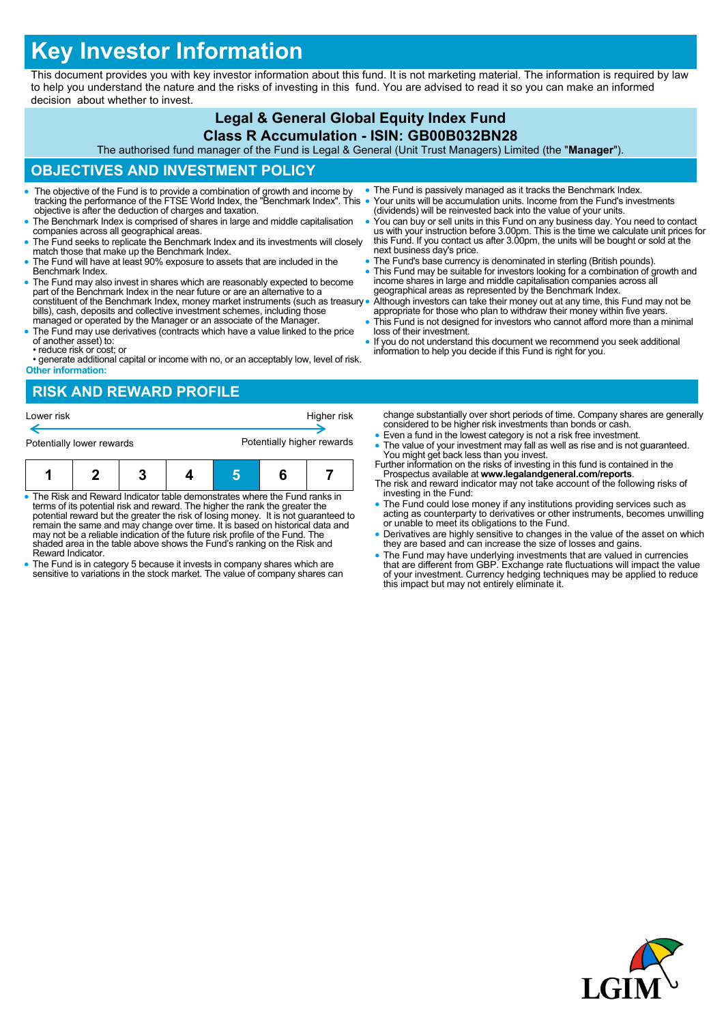# **Key Investor Information**

This document provides you with key investor information about this fund. It is not marketing material. The information is required by law to help you understand the nature and the risks of investing in this fund. You are advised to read it so you can make an informed decision about whether to invest.

#### **Legal & General Global Equity Index Fund Class R Accumulation - ISIN: GB00B032BN28**

The authorised fund manager of the Fund is Legal & General (Unit Trust Managers) Limited (the "**Manager**").

# **OBJECTIVES AND INVESTMENT POLICY**

- The objective of the Fund is to provide a combination of growth and income by tracking the performance of the FTSE World Index, the "Benchmark Index". This objective is after the deduction of charges and taxation.
- The Benchmark Index is comprised of shares in large and middle capitalisation companies across all geographical areas.
- The Fund seeks to replicate the Benchmark Index and its investments will closely match those that make up the Benchmark Index.
- The Fund will have at least 90% exposure to assets that are included in the Benchmark Index.
- The Fund may also invest in shares which are reasonably expected to become part of the Benchmark Index in the near future or are an alternative to a constituent of the Benchmark Index, money market instruments (such as treasury bills), cash, deposits and collective investment schemes, including those managed or operated by the Manager or an associate of the Manager.
- The Fund may use derivatives (contracts which have a value linked to the price of another asset) to:
- reduce risk or cost; or
- generate additional capital or income with no, or an acceptably low, level of risk. **Other information:**

#### **RISK AND REWARD PROFILE**

| Lower risk | Potentially lower rewards                                                                                                                                 |  | Higher risk<br>Potentially higher rewards |  |  | change substantially over short pe<br>considered to be higher risk invest<br>• Even a fund in the lowest category<br>• The value of your investment may<br>You might get back less than you i |
|------------|-----------------------------------------------------------------------------------------------------------------------------------------------------------|--|-------------------------------------------|--|--|-----------------------------------------------------------------------------------------------------------------------------------------------------------------------------------------------|
|            |                                                                                                                                                           |  |                                           |  |  | Further information on the risks of inv<br>Prospectus available at www.lega<br>The risk and reward indicator may r                                                                            |
|            | • The Risk and Reward Indicator table demonstrates where the Fund ranks in<br>terme of its notantial riak and reward. The bigher the rank the greater the |  |                                           |  |  | investing in the Fund:<br>• The Fund could lose money if any                                                                                                                                  |

- terms of its potential risk and reward. The higher the rank the greater the potential reward but the greater the risk of losing money. It is not guaranteed to remain the same and may change over time. It is based on historical data and may not be a reliable indication of the future risk profile of the Fund. The shaded area in the table above shows the Fund's ranking on the Risk and Reward Indicator.
- The Fund is in category 5 because it invests in company shares which are sensitive to variations in the stock market. The value of company shares can
- The Fund is passively managed as it tracks the Benchmark Index. Your units will be accumulation units. Income from the Fund's investments (dividends) will be reinvested back into the value of your units.
- You can buy or sell units in this Fund on any business day. You need to contact us with your instruction before 3.00pm. This is the time we calculate unit prices for this Fund. If you contact us after 3.00pm, the units will be bought or sold at the next business day's price.
- The Fund's base currency is denominated in sterling (British pounds).
- This Fund may be suitable for investors looking for a combination of growth and income shares in large and middle capitalisation companies across all geographical areas as represented by the Benchmark Index.

 Although investors can take their money out at any time, this Fund may not be appropriate for those who plan to withdraw their money within five years. This Fund is not designed for investors who cannot afford more than a minimal

- loss of their investment.
- If you do not understand this document we recommend you seek additional information to help you decide if this Fund is right for you.

riods of time. Company shares are generally ments than bonds or cash

- is not a risk free investment.
- fall as well as rise and is not guaranteed. invest Further in this fund is contained in the
- Prospectus available at **www.legalandgeneral.com/reports**. not take account of the following risks of
- The Fund could lose money if any institutions providing services such as acting as counterparty to derivatives or other instruments, becomes unwilling or unable to meet its obligations to the Fund.
- Derivatives are highly sensitive to changes in the value of the asset on which they are based and can increase the size of losses and gains.
- The Fund may have underlying investments that are valued in currencies<br>that are different from GBP. Exchange rate fluctuations will impact the value<br>of your investment. Currency hedging techniques may be applied to reduc